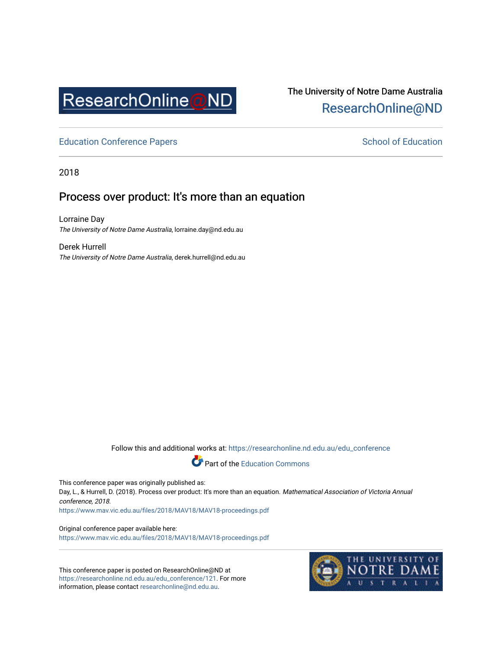

## The University of Notre Dame Australia [ResearchOnline@ND](https://researchonline.nd.edu.au/)

[Education Conference Papers](https://researchonline.nd.edu.au/edu_conference) **School of Education** School of Education

2018

### Process over product: It's more than an equation

Lorraine Day The University of Notre Dame Australia, lorraine.day@nd.edu.au

Derek Hurrell The University of Notre Dame Australia, derek.hurrell@nd.edu.au

Follow this and additional works at: [https://researchonline.nd.edu.au/edu\\_conference](https://researchonline.nd.edu.au/edu_conference?utm_source=researchonline.nd.edu.au%2Fedu_conference%2F121&utm_medium=PDF&utm_campaign=PDFCoverPages)

Part of the [Education Commons](http://network.bepress.com/hgg/discipline/784?utm_source=researchonline.nd.edu.au%2Fedu_conference%2F121&utm_medium=PDF&utm_campaign=PDFCoverPages) 

This conference paper was originally published as:

Day, L., & Hurrell, D. (2018). Process over product: It's more than an equation. Mathematical Association of Victoria Annual conference, 2018.

<https://www.mav.vic.edu.au/files/2018/MAV18/MAV18-proceedings.pdf>

Original conference paper available here: <https://www.mav.vic.edu.au/files/2018/MAV18/MAV18-proceedings.pdf>

This conference paper is posted on ResearchOnline@ND at [https://researchonline.nd.edu.au/edu\\_conference/121](https://researchonline.nd.edu.au/edu_conference/121). For more information, please contact [researchonline@nd.edu.au.](mailto:researchonline@nd.edu.au)

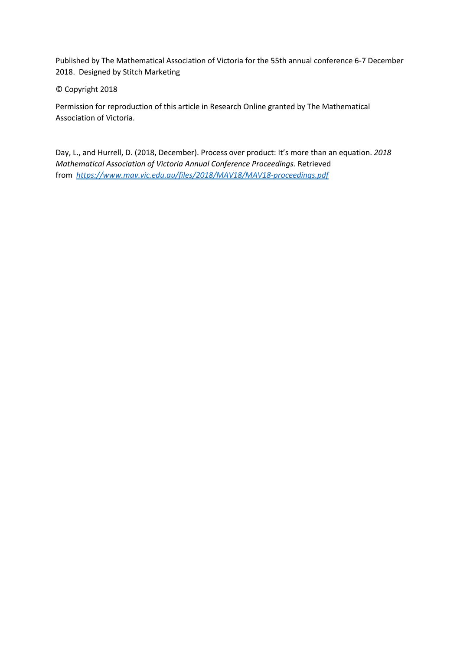Published by The Mathematical Association of Victoria for the 55th annual conference 6-7 December 2018. Designed by Stitch Marketing

#### © Copyright 2018

Permission for reproduction of this article in Research Online granted by The Mathematical Association of Victoria.

Day, L., and Hurrell, D. (2018, December). Process over product: It's more than an equation. *2018 Mathematical Association of Victoria Annual Conference Proceedings.* Retrieved from *<https://www.mav.vic.edu.au/files/2018/MAV18/MAV18-proceedings.pdf>*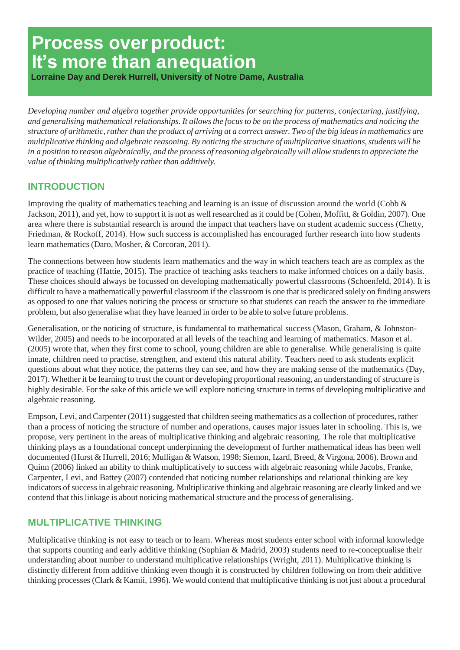# **Process over product: It's more than anequation**

**Lorraine Day and Derek Hurrell, University of Notre Dame, Australia**

*Developing number and algebra together provide opportunities for searching for patterns, conjecturing, justifying, and generalising mathematical relationships. It allows the focus to be on the process of mathematics and noticing the structure of arithmetic, rather than the product of arriving at a correct answer. Two of the big ideas in mathematics are multiplicative thinking and algebraic reasoning. By noticing the structure of multiplicative situations, students will be in a position to reason algebraically, and the process of reasoning algebraically will allow students to appreciate the value of thinking multiplicatively rather than additively.*

#### **INTRODUCTION**

Improving the quality of mathematics teaching and learning is an issue of discussion around the world (Cobb & Jackson, 2011), and yet, how to support it is not as well researched as it could be (Cohen, Moffitt, & Goldin, 2007). One area where there is substantial research is around the impact that teachers have on student academic success (Chetty, Friedman, & Rockoff, 2014). How such success is accomplished has encouraged further research into how students learn mathematics (Daro, Mosher, & Corcoran, 2011).

The connections between how students learn mathematics and the way in which teachers teach are as complex as the practice of teaching (Hattie, 2015). The practice of teaching asks teachers to make informed choices on a daily basis. These choices should always be focussed on developing mathematically powerful classrooms (Schoenfeld, 2014). It is difficult to have a mathematically powerful classroom if the classroom is one that is predicated solely on finding answers as opposed to one that values noticing the process or structure so that students can reach the answer to the immediate problem, but also generalise what they have learned in order to be able to solve future problems.

Generalisation, or the noticing of structure, is fundamental to mathematical success (Mason, Graham, & Johnston-Wilder, 2005) and needs to be incorporated at all levels of the teaching and learning of mathematics. Mason et al. (2005) wrote that, when they first come to school, young children are able to generalise. While generalising is quite innate, children need to practise, strengthen, and extend this natural ability. Teachers need to ask students explicit questions about what they notice, the patterns they can see, and how they are making sense of the mathematics (Day, 2017). Whether it be learning to trust the count or developing proportional reasoning, an understanding of structure is highly desirable. For the sake of this article we will explore noticing structure in terms of developing multiplicative and algebraic reasoning.

Empson, Levi, and Carpenter (2011) suggested that children seeing mathematics as a collection of procedures, rather than a process of noticing the structure of number and operations, causes major issues later in schooling. This is, we propose, very pertinent in the areas of multiplicative thinking and algebraic reasoning. The role that multiplicative thinking plays as a foundational concept underpinning the development of further mathematical ideas has been well documented (Hurst & Hurrell, 2016; Mulligan & Watson, 1998; Siemon, Izard, Breed, & Virgona, 2006). Brown and Quinn (2006) linked an ability to think multiplicatively to success with algebraic reasoning while Jacobs, Franke, Carpenter, Levi, and Battey (2007) contended that noticing number relationships and relational thinking are key indicators of success in algebraic reasoning. Multiplicative thinking and algebraic reasoning are clearly linked and we contend that this linkage is about noticing mathematical structure and the process of generalising.

#### **MULTIPLICATIVE THINKING**

Multiplicative thinking is not easy to teach or to learn. Whereas most students enter school with informal knowledge that supports counting and early additive thinking (Sophian & Madrid, 2003) students need to re-conceptualise their understanding about number to understand multiplicative relationships (Wright, 2011). Multiplicative thinking is distinctly different from additive thinking even though it is constructed by children following on from their additive thinking processes (Clark & Kamii, 1996). We would contend that multiplicative thinking is not just about a procedural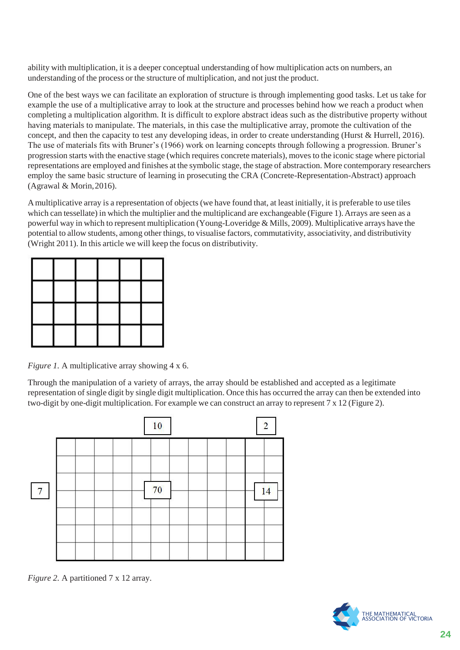ability with multiplication, it is a deeper conceptual understanding of how multiplication acts on numbers, an understanding of the process or the structure of multiplication, and not just the product.

One of the best ways we can facilitate an exploration of structure is through implementing good tasks. Let us take for example the use of a multiplicative array to look at the structure and processes behind how we reach a product when completing a multiplication algorithm. It is difficult to explore abstract ideas such as the distributive property without having materials to manipulate. The materials, in this case the multiplicative array, promote the cultivation of the concept, and then the capacity to test any developing ideas, in order to create understanding (Hurst & Hurrell, 2016). The use of materials fits with Bruner's (1966) work on learning concepts through following a progression. Bruner's progression starts with the enactive stage (which requires concrete materials), moves to the iconic stage where pictorial representations are employed and finishes at the symbolic stage, the stage of abstraction. More contemporary researchers employ the same basic structure of learning in prosecuting the CRA (Concrete-Representation-Abstract) approach (Agrawal  $&$  Morin, 2016).

Amultiplicative array is a representation of objects(we have found that, at least initially, it is preferable to use tiles which can tessellate) in which the multiplier and the multiplicand are exchangeable (Figure 1). Arrays are seen as a powerful way in which to represent multiplication (Young-Loveridge & Mills, 2009). Multiplicative arrays have the potential to allow students, among other things, to visualise factors, commutativity, associativity, and distributivity (Wright 2011). In this article we will keep the focus on distributivity.

| ٠ | the contract of the con- | the state of the first state | the contract of the contract of |  |
|---|--------------------------|------------------------------|---------------------------------|--|

*Figure 1.* A multiplicative array showing 4 x 6.

Through the manipulation of a variety of arrays, the array should be established and accepted as a legitimate representation of single digit by single digit multiplication. Once this has occurred the array can then be extended into two-digit by one-digit multiplication. For example we can construct an array to represent  $7 \times 12$  (Figure 2).



*Figure 2. A partitioned 7 x 12 array.* 

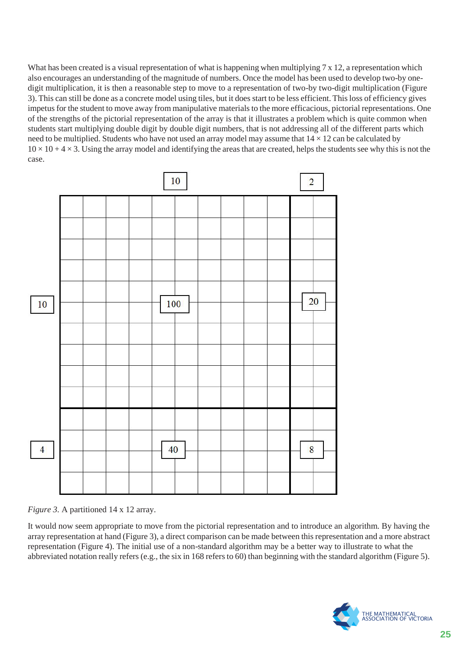What has been created is a visual representation of what is happening when multiplying 7 x 12, a representation which also encourages an understanding of the magnitude of numbers. Once the model has been used to develop two-by onedigit multiplication, it is then a reasonable step to move to a representation of two-by two-digit multiplication (Figure 3). This can still be done as a concrete model using tiles, but it does start to be less efficient. Thisloss of efficiency gives impetus for the student to move away from manipulative materials to the more efficacious, pictorial representations. One of the strengths of the pictorial representation of the array is that it illustrates a problem which is quite common when students start multiplying double digit by double digit numbers, that is not addressing all of the different parts which need to be multiplied. Students who have not used an array model may assume that  $14 \times 12$  can be calculated by  $10 \times 10 + 4 \times 3$ . Using the array model and identifying the areas that are created, helps the students see why this is not the case.



*Figure 3. A partitioned 14 x 12 array.* 

It would now seem appropriate to move from the pictorial representation and to introduce an algorithm. By having the array representation at hand (Figure 3), a direct comparison can be made between this representation and a more abstract representation (Figure 4). The initial use of a non-standard algorithm may be a better way to illustrate to what the abbreviated notation really refers (e.g., the six in 168 refers to 60) than beginning with the standard algorithm (Figure 5).

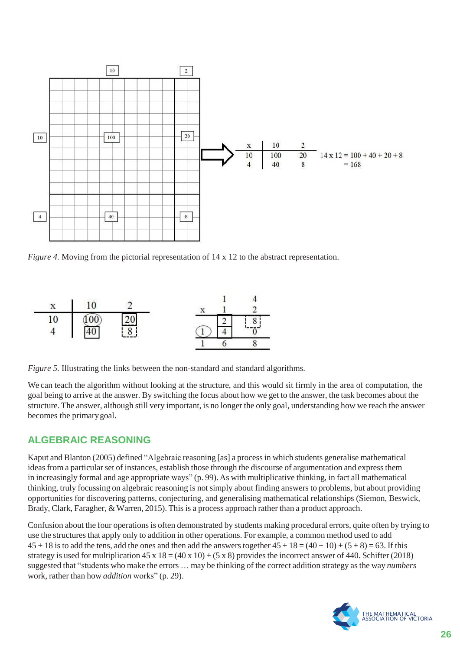

*Figure 4.* Moving from the pictorial representation of 14 x 12 to the abstract representation.



*Figure 5.* Illustrating the links between the non-standard and standard algorithms.

We can teach the algorithm without looking at the structure, and this would sit firmly in the area of computation, the goal being to arrive at the answer. By switching the focus about how we get to the answer, the task becomes about the structure. The answer, although still very important, is no longer the only goal, understanding how we reach the answer becomes the primarygoal.

#### **ALGEBRAIC REASONING**

Kaput and Blanton (2005) defined "Algebraic reasoning [as] a processin which students generalise mathematical ideas from a particular set of instances, establish those through the discourse of argumentation and express them in increasingly formal and age appropriate ways" (p. 99). As with multiplicative thinking, in fact all mathematical thinking, truly focussing on algebraic reasoning is not simply about finding answers to problems, but about providing opportunities for discovering patterns, conjecturing, and generalising mathematical relationships (Siemon, Beswick, Brady, Clark, Faragher, & Warren, 2015). This is a process approach rather than a product approach.

Confusion about the four operationsis often demonstrated by students making procedural errors, quite often by trying to use the structures that apply only to addition in other operations. For example, a common method used to add  $45 + 18$  is to add the tens, add the ones and then add the answers together  $45 + 18 = (40 + 10) + (5 + 8) = 63$ . If this strategy is used for multiplication  $45 \times 18 = (40 \times 10) + (5 \times 8)$  provides the incorrect answer of 440. Schifter (2018) suggested that "students who make the errors … may be thinking of the correct addition strategy as the way *numbers*  work, rather than how *addition* works" (p. 29).

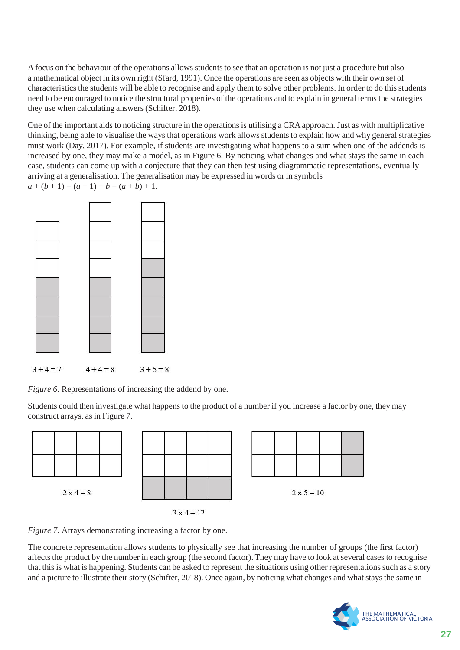Afocus on the behaviour of the operations allows studentsto see that an operation is not just a procedure but also a mathematical object in its own right (Sfard, 1991). Once the operations are seen as objects with their own set of characteristics the students will be able to recognise and apply them to solve other problems. In order to do this students need to be encouraged to notice the structural properties of the operations and to explain in general terms the strategies they use when calculating answers(Schifter, 2018).

One of the important aids to noticing structure in the operations is utilising a CRA approach. Just as with multiplicative thinking, being able to visualise the ways that operations work allows students to explain how and why general strategies must work (Day, 2017). For example, if students are investigating what happens to a sum when one of the addends is increased by one, they may make a model, as in Figure 6. By noticing what changes and what stays the same in each case, students can come up with a conjecture that they can then test using diagrammatic representations, eventually arriving at a generalisation. The generalisation may be expressed in words or in symbols  $a + (b + 1) = (a + 1) + b = (a + b) + 1.$ 



*Figure 6.* Representations of increasing the addend by one.

Students could then investigate what happens to the product of a number if you increase a factor by one, they may construct arrays, as in Figure 7.



*Figure 7.* Arrays demonstrating increasing a factor by one.

The concrete representation allows students to physically see that increasing the number of groups (the first factor) affects the product by the number in each group (the second factor). They may have to look at several cases to recognise that this is what is happening. Students can be asked to represent the situations using other representations such as a story and a picture to illustrate their story (Schifter, 2018). Once again, by noticing what changes and what stays the same in

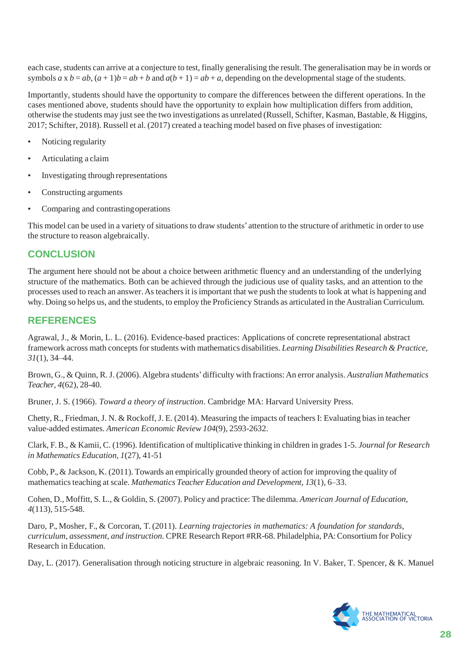each case, students can arrive at a conjecture to test, finally generalising the result. The generalisation may be in words or symbols  $a \times b = ab$ ,  $(a+1)b = ab + b$  and  $a(b+1) = ab + a$ , depending on the developmental stage of the students.

Importantly, students should have the opportunity to compare the differences between the different operations. In the cases mentioned above, students should have the opportunity to explain how multiplication differs from addition, otherwise the students may just see the two investigations as unrelated (Russell, Schifter, Kasman, Bastable, & Higgins, 2017; Schifter, 2018). Russell et al. (2017) created a teaching model based on five phases of investigation:

- Noticing regularity
- Articulating a claim
- Investigating through representations
- Constructing arguments
- Comparing and contrastingoperations

This model can be used in a variety of situations to draw students' attention to the structure of arithmetic in order to use the structure to reason algebraically.

#### **CONCLUSION**

The argument here should not be about a choice between arithmetic fluency and an understanding of the underlying structure of the mathematics. Both can be achieved through the judicious use of quality tasks, and an attention to the processes used to reach an answer. As teachers it is important that we push the students to look at what is happening and why. Doing so helps us, and the students, to employ the Proficiency Strands as articulated in the Australian Curriculum.

#### **REFERENCES**

Agrawal, J., & Morin, L. L. (2016). Evidence-based practices: Applications of concrete representational abstract framework across math conceptsforstudents with mathematics disabilities. *Learning Disabilities Research & Practice, 31*(1), 34–44.

Brown, G., & Quinn, R.J. (2006).Algebra students' difficulty with fractions:An error analysis. *Australian Mathematics Teacher, 4*(62), 28-40.

Bruner, J. S. (1966). *Toward a theory of instruction*. Cambridge MA: Harvard University Press.

Chetty, R., Friedman, J. N. & Rockoff, J. E. (2014). Measuring the impacts of teachers I: Evaluating bias in teacher value-added estimates. *American Economic Review 104*(9), 2593-2632.

Clark, F.B., & Kamii, C. (1996). Identification of multiplicative thinking in children in grades 1-5. *Journal for Research in Mathematics Education, 1*(27), 41-51

Cobb, P.,& Jackson, K. (2011). Towards an empirically grounded theory of action for improving the quality of mathematicsteaching at scale. *Mathematics Teacher Education and Development, 13*(1), 6–33.

Cohen, D., Moffitt, S. L., & Goldin, S. (2007). Policy and practice: The dilemma. *American Journal of Education, 4*(113), 515-548.

Daro, P., Mosher, F., & Corcoran, T. (2011). *Learning trajectories in mathematics: A foundation for standards, curriculum, assessment, and instruction.* CPRE Research Report #RR-68. Philadelphia, PA:Consortium for Policy Research in Education.

Day, L. (2017). Generalisation through noticing structure in algebraic reasoning. In V. Baker, T. Spencer, & K. Manuel

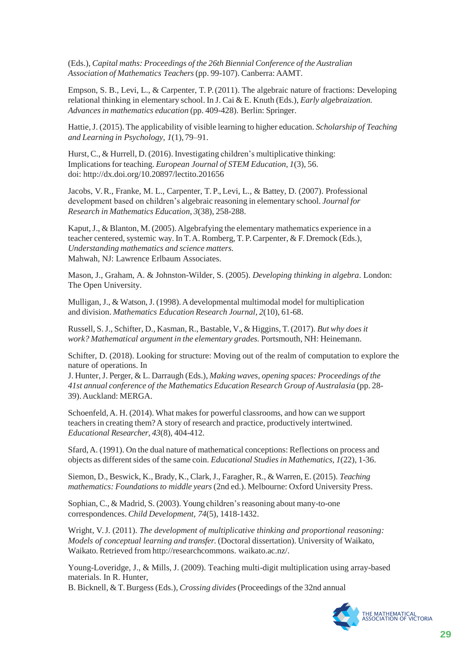(Eds.), *Capital maths: Proceedings of the 26th Biennial Conference of the Australian Association of Mathematics Teachers*(pp. 99-107). Canberra: AAMT.

Empson, S. B., Levi, L., & Carpenter, T. P. (2011). The algebraic nature of fractions: Developing relational thinking in elementary school. In J. Cai & E. Knuth (Eds.), *Early algebraization. Advances in mathematics education* (pp. 409-428). Berlin: Springer.

Hattie,J. (2015). The applicability of visible learning to higher education. *Scholarship of Teaching and Learning in Psychology, 1*(1), 79–91.

Hurst, C., & Hurrell, D. (2016). Investigating children's multiplicative thinking: Implicationsfor teaching. *European Journal of STEM Education, 1*(3), 56. doi:<http://dx.doi.org/10.20897/lectito.201656>

Jacobs, V. R., Franke, M. L., Carpenter, T. P., Levi, L., & Battey, D. (2007). Professional development based on children's algebraic reasoning in elementary school. *Journal for Research in Mathematics Education, 3*(38), 258-288.

Kaput, J.,  $\&$  Blanton, M. (2005). Algebrafying the elementary mathematics experience in a teacher centered, systemic way. In T.A. Romberg, T.P. Carpenter, & F. Dremock (Eds.), *Understanding mathematics and science matters.* Mahwah, NJ: Lawrence Erlbaum Associates.

Mason, J., Graham, A. & Johnston-Wilder, S. (2005). *Developing thinking in algebra*. London: The Open University.

Mulligan,J., & Watson,J. (1998).Adevelopmental multimodal model for multiplication and division. *Mathematics Education Research Journal, 2*(10), 61-68.

Russell, S.J., Schifter, D., Kasman, R., Bastable, V.,& Higgins, T.(2017). *But why doesit work? Mathematical argument in the elementary grades.* Portsmouth, NH: Heinemann.

Schifter, D. (2018). Looking for structure: Moving out of the realm of computation to explore the nature of operations. In

J. Hunter,J. Perger, & L. Darraugh (Eds.), *Making waves, opening spaces: Proceedings of the 41st annual conference of the Mathematics Education Research Group of Australasia* (pp. 28- 39).Auckland: MERGA.

Schoenfeld,A. H. (2014). What makes for powerful classrooms, and how can we support teachersin creating them? A story of research and practice, productively intertwined. *Educational Researcher, 43*(8), 404-412.

Sfard,A. (1991). On the dual nature of mathematical conceptions: Reflections on process and objects as differentsides of the same coin. *Educational Studies in Mathematics, 1*(22), 1-36.

Siemon, D., Beswick, K., Brady, K., Clark,J., Faragher, R., & Warren, E. (2015). *Teaching mathematics: Foundations to middle years* (2nd ed.). Melbourne: Oxford University Press.

Sophian, C., & Madrid, S. (2003). Young children's reasoning about many-to-one correspondences. *Child Development, 74*(5), 1418-1432.

Wright, V. J. (2011). *The development of multiplicative thinking and proportional reasoning: Models of conceptual learning and transfer.* (Doctoral dissertation). University of Waikato, Waikato. Retrieved from [http://researchcommons.](http://researchcommons/) waikato.ac.nz/.

Young-Loveridge, J., & Mills, J. (2009). Teaching multi-digit multiplication using array-based materials. In R. Hunter,

B. Bicknell, & T.Burgess (Eds.), *Crossing divides*(Proceedings of the 32nd annual